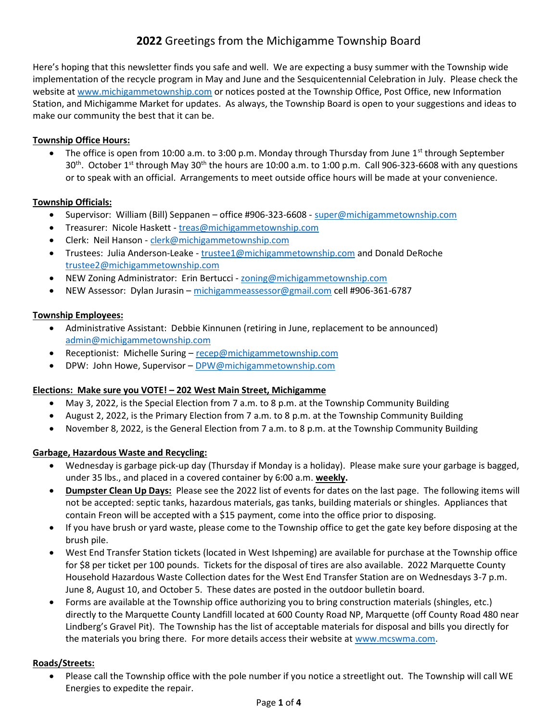# 2022 Greetings from the Michigamme Township Board

Here's hoping that this newsletter finds you safe and well. We are expecting a busy summer with the Township wide implementation of the recycle program in May and June and the Sesquicentennial Celebration in July. Please check the website at www.michigammetownship.com or notices posted at the Township Office, Post Office, new Information Station, and Michigamme Market for updates. As always, the Township Board is open to your suggestions and ideas to make our community the best that it can be.

# Township Office Hours:

• The office is open from 10:00 a.m. to 3:00 p.m. Monday through Thursday from June  $1^{st}$  through September 30<sup>th</sup>. October 1<sup>st</sup> through May 30<sup>th</sup> the hours are 10:00 a.m. to 1:00 p.m. Call 906-323-6608 with any questions or to speak with an official. Arrangements to meet outside office hours will be made at your convenience.

#### Township Officials:

- Supervisor: William (Bill) Seppanen office #906-323-6608 super@michigammetownship.com
- Treasurer: Nicole Haskett treas@michigammetownship.com
- Clerk: Neil Hanson clerk@michigammetownship.com
- Trustees: Julia Anderson-Leake trustee1@michigammetownship.com and Donald DeRoche trustee2@michigammetownship.com
- NEW Zoning Administrator: Erin Bertucci zoning@michigammetownship.com
- NEW Assessor: Dylan Jurasin michigammeassessor@gmail.com cell #906-361-6787

# Township Employees:

- Administrative Assistant: Debbie Kinnunen (retiring in June, replacement to be announced) admin@michigammetownship.com
- Receptionist: Michelle Suring recep@michigammetownship.com
- DPW: John Howe, Supervisor DPW@michigammetownship.com

#### Elections: Make sure you VOTE! – 202 West Main Street, Michigamme

- May 3, 2022, is the Special Election from 7 a.m. to 8 p.m. at the Township Community Building
- August 2, 2022, is the Primary Election from 7 a.m. to 8 p.m. at the Township Community Building
- November 8, 2022, is the General Election from 7 a.m. to 8 p.m. at the Township Community Building

# Garbage, Hazardous Waste and Recycling:

- Wednesday is garbage pick-up day (Thursday if Monday is a holiday). Please make sure your garbage is bagged, under 35 lbs., and placed in a covered container by 6:00 a.m. weekly.
- Dumpster Clean Up Days: Please see the 2022 list of events for dates on the last page. The following items will not be accepted: septic tanks, hazardous materials, gas tanks, building materials or shingles. Appliances that contain Freon will be accepted with a \$15 payment, come into the office prior to disposing.
- If you have brush or yard waste, please come to the Township office to get the gate key before disposing at the brush pile.
- West End Transfer Station tickets (located in West Ishpeming) are available for purchase at the Township office for \$8 per ticket per 100 pounds. Tickets for the disposal of tires are also available. 2022 Marquette County Household Hazardous Waste Collection dates for the West End Transfer Station are on Wednesdays 3-7 p.m. June 8, August 10, and October 5. These dates are posted in the outdoor bulletin board.
- Forms are available at the Township office authorizing you to bring construction materials (shingles, etc.) directly to the Marquette County Landfill located at 600 County Road NP, Marquette (off County Road 480 near Lindberg's Gravel Pit). The Township has the list of acceptable materials for disposal and bills you directly for the materials you bring there. For more details access their website at www.mcswma.com.

#### Roads/Streets:

 Please call the Township office with the pole number if you notice a streetlight out. The Township will call WE Energies to expedite the repair.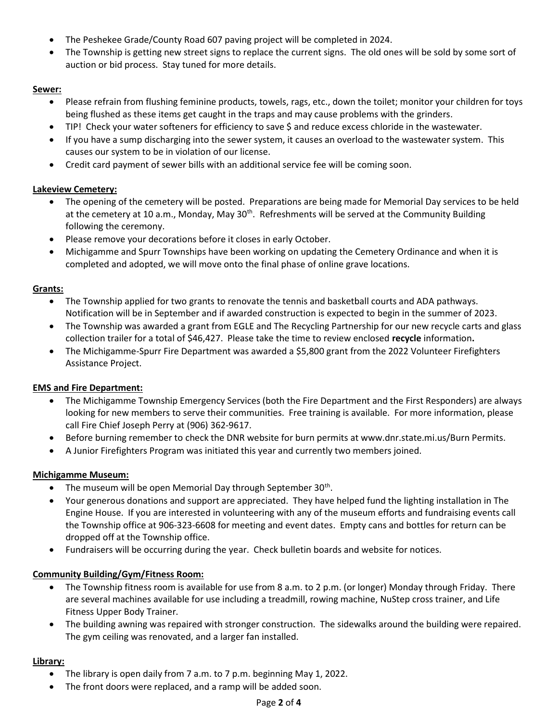- The Peshekee Grade/County Road 607 paving project will be completed in 2024.
- The Township is getting new street signs to replace the current signs. The old ones will be sold by some sort of auction or bid process. Stay tuned for more details.

# Sewer:

- Please refrain from flushing feminine products, towels, rags, etc., down the toilet; monitor your children for toys being flushed as these items get caught in the traps and may cause problems with the grinders.
- TIP! Check your water softeners for efficiency to save \$ and reduce excess chloride in the wastewater.
- If you have a sump discharging into the sewer system, it causes an overload to the wastewater system. This causes our system to be in violation of our license.
- Credit card payment of sewer bills with an additional service fee will be coming soon.

# Lakeview Cemetery:

- The opening of the cemetery will be posted. Preparations are being made for Memorial Day services to be held at the cemetery at 10 a.m., Monday, May  $30<sup>th</sup>$ . Refreshments will be served at the Community Building following the ceremony.
- Please remove your decorations before it closes in early October.
- Michigamme and Spurr Townships have been working on updating the Cemetery Ordinance and when it is completed and adopted, we will move onto the final phase of online grave locations.

#### Grants:

- The Township applied for two grants to renovate the tennis and basketball courts and ADA pathways. Notification will be in September and if awarded construction is expected to begin in the summer of 2023.
- The Township was awarded a grant from EGLE and The Recycling Partnership for our new recycle carts and glass collection trailer for a total of \$46,427. Please take the time to review enclosed recycle information.
- The Michigamme-Spurr Fire Department was awarded a \$5,800 grant from the 2022 Volunteer Firefighters Assistance Project.

#### EMS and Fire Department:

- The Michigamme Township Emergency Services (both the Fire Department and the First Responders) are always looking for new members to serve their communities. Free training is available. For more information, please call Fire Chief Joseph Perry at (906) 362-9617.
- Before burning remember to check the DNR website for burn permits at www.dnr.state.mi.us/Burn Permits.
- A Junior Firefighters Program was initiated this year and currently two members joined.

#### Michigamme Museum:

- The museum will be open Memorial Day through September  $30<sup>th</sup>$ .
- Your generous donations and support are appreciated. They have helped fund the lighting installation in The Engine House. If you are interested in volunteering with any of the museum efforts and fundraising events call the Township office at 906-323-6608 for meeting and event dates. Empty cans and bottles for return can be dropped off at the Township office.
- Fundraisers will be occurring during the year. Check bulletin boards and website for notices.

#### Community Building/Gym/Fitness Room:

- The Township fitness room is available for use from 8 a.m. to 2 p.m. (or longer) Monday through Friday. There are several machines available for use including a treadmill, rowing machine, NuStep cross trainer, and Life Fitness Upper Body Trainer.
- The building awning was repaired with stronger construction. The sidewalks around the building were repaired. The gym ceiling was renovated, and a larger fan installed.

#### Library:

- The library is open daily from 7 a.m. to 7 p.m. beginning May 1, 2022.
- The front doors were replaced, and a ramp will be added soon.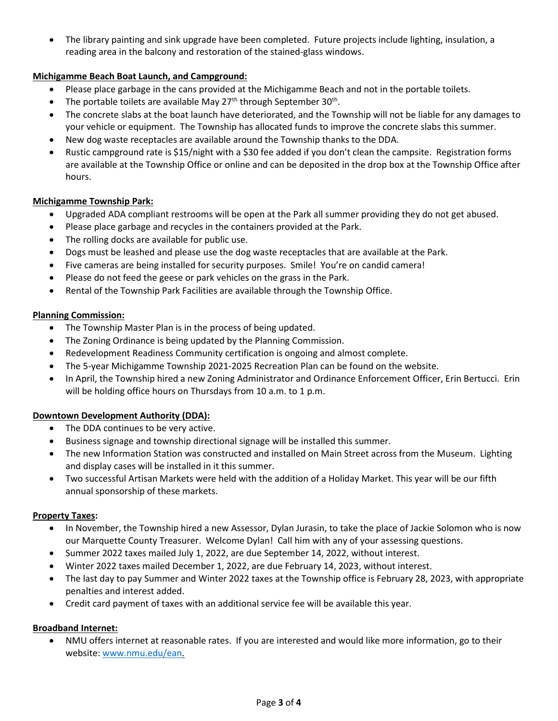The library painting and sink upgrade have been completed. Future projects include lighting, insulation, a reading area in the balcony and restoration of the stained-glass windows.

# Michigamme Beach Boat Launch, and Campground:

- Please place garbage in the cans provided at the Michigamme Beach and not in the portable toilets.
- The portable toilets are available May  $27<sup>th</sup>$  through September  $30<sup>th</sup>$ .
- The concrete slabs at the boat launch have deteriorated, and the Township will not be liable for any damages to your vehicle or equipment. The Township has allocated funds to improve the concrete slabs this summer.
- New dog waste receptacles are available around the Township thanks to the DDA.
- Rustic campground rate is \$15/night with a \$30 fee added if you don't clean the campsite. Registration forms are available at the Township Office or online and can be deposited in the drop box at the Township Office after hours.

# Michigamme Township Park:

- Upgraded ADA compliant restrooms will be open at the Park all summer providing they do not get abused.
- Please place garbage and recycles in the containers provided at the Park.
- The rolling docks are available for public use.
- Dogs must be leashed and please use the dog waste receptacles that are available at the Park.
- Five cameras are being installed for security purposes. Smile! You're on candid camera!
- Please do not feed the geese or park vehicles on the grass in the Park.
- Rental of the Township Park Facilities are available through the Township Office.

#### Planning Commission:

- The Township Master Plan is in the process of being updated.
- The Zoning Ordinance is being updated by the Planning Commission.
- Redevelopment Readiness Community certification is ongoing and almost complete.
- The 5-year Michigamme Township 2021-2025 Recreation Plan can be found on the website.
- In April, the Township hired a new Zoning Administrator and Ordinance Enforcement Officer, Erin Bertucci. Erin will be holding office hours on Thursdays from 10 a.m. to 1 p.m.

#### Downtown Development Authority (DDA):

- The DDA continues to be very active.
- Business signage and township directional signage will be installed this summer.
- The new Information Station was constructed and installed on Main Street across from the Museum. Lighting and display cases will be installed in it this summer.
- Two successful Artisan Markets were held with the addition of a Holiday Market. This year will be our fifth annual sponsorship of these markets.

#### Property Taxes:

- In November, the Township hired a new Assessor, Dylan Jurasin, to take the place of Jackie Solomon who is now our Marquette County Treasurer. Welcome Dylan! Call him with any of your assessing questions.
- Summer 2022 taxes mailed July 1, 2022, are due September 14, 2022, without interest.
- Winter 2022 taxes mailed December 1, 2022, are due February 14, 2023, without interest.
- The last day to pay Summer and Winter 2022 taxes at the Township office is February 28, 2023, with appropriate penalties and interest added.
- Credit card payment of taxes with an additional service fee will be available this year.

#### Broadband Internet:

 NMU offers internet at reasonable rates. If you are interested and would like more information, go to their website: www.nmu.edu/ean.